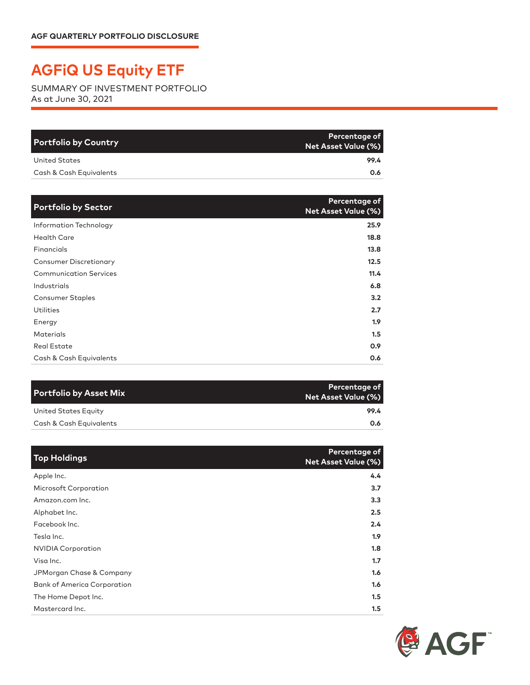## **AGFiQ US Equity ETF**

SUMMARY OF INVESTMENT PORTFOLIO As at June 30, 2021

| <b>Portfolio by Country</b> | Percentage of<br><b>Net Asset Value (%)</b> |
|-----------------------------|---------------------------------------------|
| United States               | 99.4                                        |
| Cash & Cash Equivalents     | 0.6                                         |

| <b>Portfolio by Sector</b>    | Percentage of<br><b>Net Asset Value (%)</b> |
|-------------------------------|---------------------------------------------|
| Information Technology        | 25.9                                        |
| <b>Health Care</b>            | 18.8                                        |
| Financials                    | 13.8                                        |
| <b>Consumer Discretionary</b> | 12.5                                        |
| <b>Communication Services</b> | 11.4                                        |
| Industrials                   | 6.8                                         |
| <b>Consumer Staples</b>       | 3.2                                         |
| <b>Utilities</b>              | 2.7                                         |
| Energy                        | 1.9 <sup>2</sup>                            |
| <b>Materials</b>              | 1.5                                         |
| <b>Real Estate</b>            | 0.9                                         |
| Cash & Cash Equivalents       | 0.6                                         |

| Percentage of<br>Net Asset Value (%) |
|--------------------------------------|
| 99.4                                 |
| 0.6                                  |
|                                      |

| <b>Top Holdings</b>                | Percentage of<br><b>Net Asset Value (%)</b> |
|------------------------------------|---------------------------------------------|
| Apple Inc.                         | 4.4                                         |
| <b>Microsoft Corporation</b>       | 3.7                                         |
| Amazon.com Inc.                    | 3.3                                         |
| Alphabet Inc.                      | 2.5                                         |
| Facebook Inc.                      | 2.4                                         |
| Tesla Inc.                         | 1.9                                         |
| <b>NVIDIA Corporation</b>          | 1.8                                         |
| Visa Inc.                          | 1.7                                         |
| JPMorgan Chase & Company           | 1.6                                         |
| <b>Bank of America Corporation</b> | 1.6                                         |
| The Home Depot Inc.                | 1.5                                         |
| Mastercard Inc.                    | 1.5                                         |